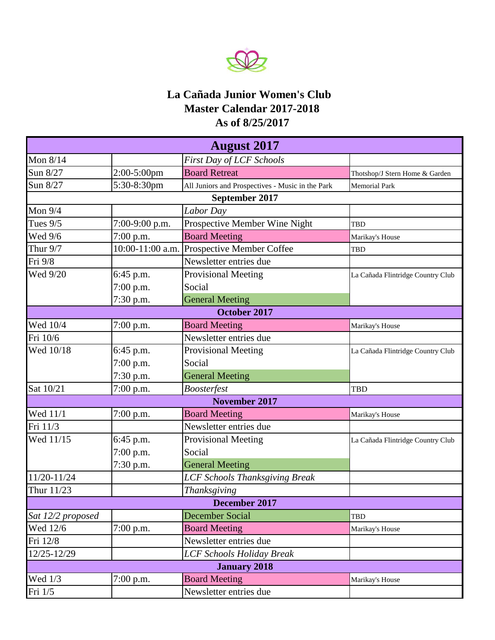

## **As of 8/25/2017 La Cañada Junior Women's Club Master Calendar 2017-2018**

| <b>August 2017</b> |                  |                                                  |                                   |  |  |
|--------------------|------------------|--------------------------------------------------|-----------------------------------|--|--|
| Mon 8/14           |                  | First Day of LCF Schools                         |                                   |  |  |
| Sun 8/27           | $2:00-5:00$ pm   | <b>Board Retreat</b>                             | Thotshop/J Stern Home & Garden    |  |  |
| Sun 8/27           | 5:30-8:30pm      | All Juniors and Prospectives - Music in the Park | <b>Memorial Park</b>              |  |  |
|                    |                  | September 2017                                   |                                   |  |  |
| Mon $9/4$          |                  | Labor Day                                        |                                   |  |  |
| Tues $9/5$         | 7:00-9:00 p.m.   | Prospective Member Wine Night                    | TBD                               |  |  |
| Wed 9/6            | 7:00 p.m.        | <b>Board Meeting</b>                             | Marikay's House                   |  |  |
| Thur 9/7           | 10:00-11:00 a.m. | Prospective Member Coffee                        | TBD                               |  |  |
| Fri 9/8            |                  | Newsletter entries due                           |                                   |  |  |
| Wed 9/20           | 6:45 p.m.        | <b>Provisional Meeting</b>                       | La Cañada Flintridge Country Club |  |  |
|                    | 7:00 p.m.        | Social                                           |                                   |  |  |
|                    | 7:30 p.m.        | <b>General Meeting</b>                           |                                   |  |  |
| October 2017       |                  |                                                  |                                   |  |  |
| Wed 10/4           | $7:00$ p.m.      | <b>Board Meeting</b>                             | Marikay's House                   |  |  |
| Fri 10/6           |                  | Newsletter entries due                           |                                   |  |  |
| Wed 10/18          | 6:45 p.m.        | Provisional Meeting                              | La Cañada Flintridge Country Club |  |  |
|                    | 7:00 p.m.        | Social                                           |                                   |  |  |
|                    | 7:30 p.m.        | <b>General Meeting</b>                           |                                   |  |  |
| Sat 10/21          | 7:00 p.m.        | <b>Boosterfest</b>                               | <b>TBD</b>                        |  |  |
|                    |                  | <b>November 2017</b>                             |                                   |  |  |
| Wed 11/1           | 7:00 p.m.        | <b>Board Meeting</b>                             | Marikay's House                   |  |  |
| Fri 11/3           |                  | Newsletter entries due                           |                                   |  |  |
| Wed 11/15          | 6:45 p.m.        | <b>Provisional Meeting</b>                       | La Cañada Flintridge Country Club |  |  |
|                    | 7:00 p.m.        | Social                                           |                                   |  |  |
|                    | 7:30 p.m.        | <b>General Meeting</b>                           |                                   |  |  |
| 11/20-11/24        |                  | <b>LCF Schools Thanksgiving Break</b>            |                                   |  |  |
| Thur 11/23         |                  | Thanksgiving                                     |                                   |  |  |
|                    |                  | December 2017                                    |                                   |  |  |
| Sat 12/2 proposed  |                  | <b>December Social</b>                           | TBD                               |  |  |
| Wed 12/6           | 7:00 p.m.        | <b>Board Meeting</b>                             | Marikay's House                   |  |  |
| Fri 12/8           |                  | Newsletter entries due                           |                                   |  |  |
| 12/25-12/29        |                  | <b>LCF Schools Holiday Break</b>                 |                                   |  |  |
|                    |                  | <b>January 2018</b>                              |                                   |  |  |
| Wed 1/3            | 7:00 p.m.        | <b>Board Meeting</b>                             | Marikay's House                   |  |  |
| Fri 1/5            |                  | Newsletter entries due                           |                                   |  |  |
|                    |                  |                                                  |                                   |  |  |